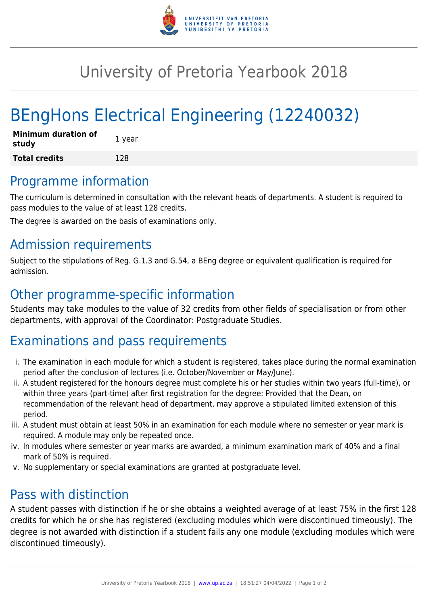

## University of Pretoria Yearbook 2018

# BEngHons Electrical Engineering (12240032)

| Minimum duration of<br>study | 1 year |
|------------------------------|--------|
| <b>Total credits</b>         | 128    |

#### Programme information

The curriculum is determined in consultation with the relevant heads of departments. A student is required to pass modules to the value of at least 128 credits.

The degree is awarded on the basis of examinations only.

#### Admission requirements

Subject to the stipulations of Reg. G.1.3 and G.54, a BEng degree or equivalent qualification is required for admission.

#### Other programme-specific information

Students may take modules to the value of 32 credits from other fields of specialisation or from other departments, with approval of the Coordinator: Postgraduate Studies.

## Examinations and pass requirements

- i. The examination in each module for which a student is registered, takes place during the normal examination period after the conclusion of lectures (i.e. October/November or May/June).
- ii. A student registered for the honours degree must complete his or her studies within two years (full-time), or within three years (part-time) after first registration for the degree: Provided that the Dean, on recommendation of the relevant head of department, may approve a stipulated limited extension of this period.
- iii. A student must obtain at least 50% in an examination for each module where no semester or year mark is required. A module may only be repeated once.
- iv. In modules where semester or year marks are awarded, a minimum examination mark of 40% and a final mark of 50% is required.
- v. No supplementary or special examinations are granted at postgraduate level.

## Pass with distinction

A student passes with distinction if he or she obtains a weighted average of at least 75% in the first 128 credits for which he or she has registered (excluding modules which were discontinued timeously). The degree is not awarded with distinction if a student fails any one module (excluding modules which were discontinued timeously).